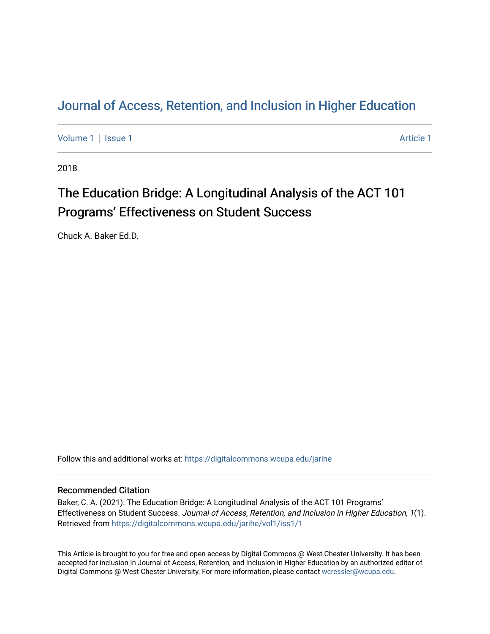# [Journal of Access, Retention, and Inclusion in Higher Education](https://digitalcommons.wcupa.edu/jarihe)

[Volume 1](https://digitalcommons.wcupa.edu/jarihe/vol1) | [Issue 1](https://digitalcommons.wcupa.edu/jarihe/vol1/iss1) Article 1

2018

# The Education Bridge: A Longitudinal Analysis of the ACT 101 Programs' Effectiveness on Student Success

Chuck A. Baker Ed.D.

Follow this and additional works at: [https://digitalcommons.wcupa.edu/jarihe](https://digitalcommons.wcupa.edu/jarihe?utm_source=digitalcommons.wcupa.edu%2Fjarihe%2Fvol1%2Fiss1%2F1&utm_medium=PDF&utm_campaign=PDFCoverPages) 

# Recommended Citation

Baker, C. A. (2021). The Education Bridge: A Longitudinal Analysis of the ACT 101 Programs' Effectiveness on Student Success. Journal of Access, Retention, and Inclusion in Higher Education, 1(1). Retrieved from [https://digitalcommons.wcupa.edu/jarihe/vol1/iss1/1](https://digitalcommons.wcupa.edu/jarihe/vol1/iss1/1?utm_source=digitalcommons.wcupa.edu%2Fjarihe%2Fvol1%2Fiss1%2F1&utm_medium=PDF&utm_campaign=PDFCoverPages) 

This Article is brought to you for free and open access by Digital Commons @ West Chester University. It has been accepted for inclusion in Journal of Access, Retention, and Inclusion in Higher Education by an authorized editor of Digital Commons @ West Chester University. For more information, please contact [wcressler@wcupa.edu](mailto:wcressler@wcupa.edu).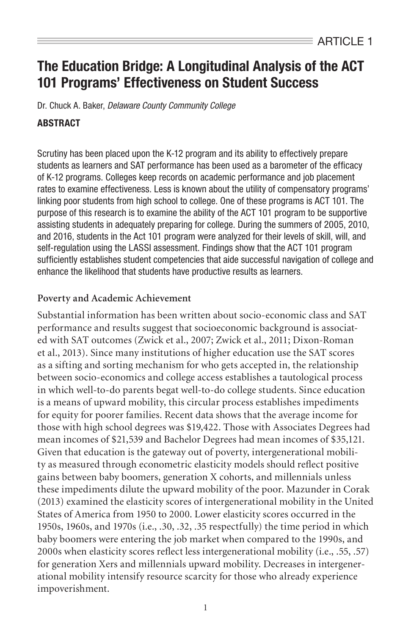# The Education Bridge: A Longitudinal Analysis of the ACT 101 Programs' Effectiveness on Student Success

Dr. Chuck A. Baker, *Delaware County Community College*

# **ARSTRACT**

Scrutiny has been placed upon the K-12 program and its ability to effectively prepare students as learners and SAT performance has been used as a barometer of the efficacy of K-12 programs. Colleges keep records on academic performance and job placement rates to examine effectiveness. Less is known about the utility of compensatory programs' linking poor students from high school to college. One of these programs is ACT 101. The purpose of this research is to examine the ability of the ACT 101 program to be supportive assisting students in adequately preparing for college. During the summers of 2005, 2010, and 2016, students in the Act 101 program were analyzed for their levels of skill, will, and self-regulation using the LASSI assessment. Findings show that the ACT 101 program sufficiently establishes student competencies that aide successful navigation of college and enhance the likelihood that students have productive results as learners.

# **Poverty and Academic Achievement**

Substantial information has been written about socio-economic class and SAT performance and results suggest that socioeconomic background is associated with SAT outcomes (Zwick et al., 2007; Zwick et al., 2011; Dixon-Roman et al., 2013). Since many institutions of higher education use the SAT scores as a sifting and sorting mechanism for who gets accepted in, the relationship between socio-economics and college access establishes a tautological process in which well-to-do parents begat well-to-do college students. Since education is a means of upward mobility, this circular process establishes impediments for equity for poorer families. Recent data shows that the average income for those with high school degrees was \$19,422. Those with Associates Degrees had mean incomes of \$21,539 and Bachelor Degrees had mean incomes of \$35,121. Given that education is the gateway out of poverty, intergenerational mobility as measured through econometric elasticity models should reflect positive gains between baby boomers, generation X cohorts, and millennials unless these impediments dilute the upward mobility of the poor. Mazunder in Corak (2013) examined the elasticity scores of intergenerational mobility in the United States of America from 1950 to 2000. Lower elasticity scores occurred in the 1950s, 1960s, and 1970s (i.e., .30, .32, .35 respectfully) the time period in which baby boomers were entering the job market when compared to the 1990s, and 2000s when elasticity scores reflect less intergenerational mobility (i.e., .55, .57) for generation Xers and millennials upward mobility. Decreases in intergenerational mobility intensify resource scarcity for those who already experience impoverishment.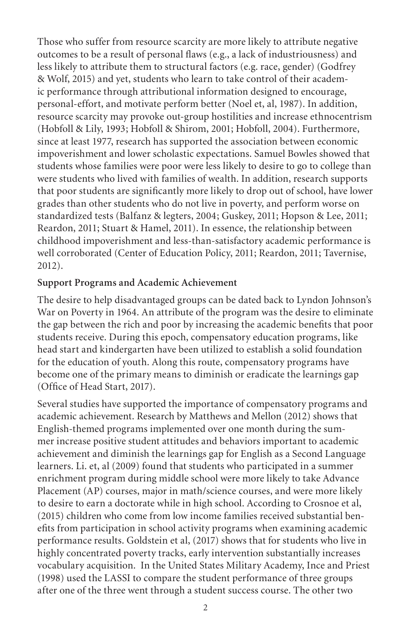Those who suffer from resource scarcity are more likely to attribute negative outcomes to be a result of personal flaws (e.g., a lack of industriousness) and less likely to attribute them to structural factors (e.g. race, gender) (Godfrey & Wolf, 2015) and yet, students who learn to take control of their academic performance through attributional information designed to encourage, personal-effort, and motivate perform better (Noel et, al, 1987). In addition, resource scarcity may provoke out-group hostilities and increase ethnocentrism (Hobfoll & Lily, 1993; Hobfoll & Shirom, 2001; Hobfoll, 2004). Furthermore, since at least 1977, research has supported the association between economic impoverishment and lower scholastic expectations. Samuel Bowles showed that students whose families were poor were less likely to desire to go to college than were students who lived with families of wealth. In addition, research supports that poor students are significantly more likely to drop out of school, have lower grades than other students who do not live in poverty, and perform worse on standardized tests (Balfanz & legters, 2004; Guskey, 2011; Hopson & Lee, 2011; Reardon, 2011; Stuart & Hamel, 2011). In essence, the relationship between childhood impoverishment and less-than-satisfactory academic performance is well corroborated (Center of Education Policy, 2011; Reardon, 2011; Tavernise, 2012).

#### **Support Programs and Academic Achievement**

The desire to help disadvantaged groups can be dated back to Lyndon Johnson's War on Poverty in 1964. An attribute of the program was the desire to eliminate the gap between the rich and poor by increasing the academic benefits that poor students receive. During this epoch, compensatory education programs, like head start and kindergarten have been utilized to establish a solid foundation for the education of youth. Along this route, compensatory programs have become one of the primary means to diminish or eradicate the learnings gap (Office of Head Start, 2017).

Several studies have supported the importance of compensatory programs and academic achievement. Research by Matthews and Mellon (2012) shows that English-themed programs implemented over one month during the summer increase positive student attitudes and behaviors important to academic achievement and diminish the learnings gap for English as a Second Language learners. Li. et, al (2009) found that students who participated in a summer enrichment program during middle school were more likely to take Advance Placement (AP) courses, major in math/science courses, and were more likely to desire to earn a doctorate while in high school. According to Crosnoe et al, (2015) children who come from low income families received substantial benefits from participation in school activity programs when examining academic performance results. Goldstein et al, (2017) shows that for students who live in highly concentrated poverty tracks, early intervention substantially increases vocabulary acquisition. In the United States Military Academy, Ince and Priest (1998) used the LASSI to compare the student performance of three groups after one of the three went through a student success course. The other two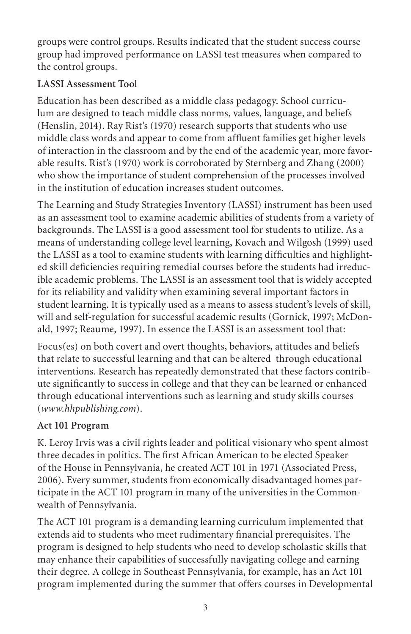groups were control groups. Results indicated that the student success course group had improved performance on LASSI test measures when compared to the control groups.

# **LASSI Assessment Tool**

Education has been described as a middle class pedagogy. School curriculum are designed to teach middle class norms, values, language, and beliefs (Henslin, 2014). Ray Rist's (1970) research supports that students who use middle class words and appear to come from affluent families get higher levels of interaction in the classroom and by the end of the academic year, more favorable results. Rist's (1970) work is corroborated by Sternberg and Zhang (2000) who show the importance of student comprehension of the processes involved in the institution of education increases student outcomes.

The Learning and Study Strategies Inventory (LASSI) instrument has been used as an assessment tool to examine academic abilities of students from a variety of backgrounds. The LASSI is a good assessment tool for students to utilize. As a means of understanding college level learning, Kovach and Wilgosh (1999) used the LASSI as a tool to examine students with learning difficulties and highlighted skill deficiencies requiring remedial courses before the students had irreducible academic problems. The LASSI is an assessment tool that is widely accepted for its reliability and validity when examining several important factors in student learning. It is typically used as a means to assess student's levels of skill, will and self-regulation for successful academic results (Gornick, 1997; McDonald, 1997; Reaume, 1997). In essence the LASSI is an assessment tool that:

Focus(es) on both covert and overt thoughts, behaviors, attitudes and beliefs that relate to successful learning and that can be altered through educational interventions. Research has repeatedly demonstrated that these factors contribute significantly to success in college and that they can be learned or enhanced through educational interventions such as learning and study skills courses (*www.hhpublishing.com*).

# **Act 101 Program**

K. Leroy Irvis was a civil rights leader and political visionary who spent almost three decades in politics. The first African American to be elected Speaker of the House in Pennsylvania, he created ACT 101 in 1971 (Associated Press, 2006). Every summer, students from economically disadvantaged homes participate in the ACT 101 program in many of the universities in the Commonwealth of Pennsylvania.

The ACT 101 program is a demanding learning curriculum implemented that extends aid to students who meet rudimentary financial prerequisites. The program is designed to help students who need to develop scholastic skills that may enhance their capabilities of successfully navigating college and earning their degree. A college in Southeast Pennsylvania, for example, has an Act 101 program implemented during the summer that offers courses in Developmental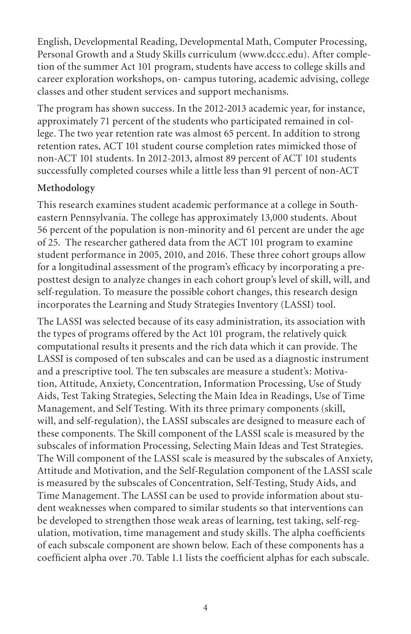English, Developmental Reading, Developmental Math, Computer Processing, Personal Growth and a Study Skills curriculum (www.dccc.edu). After completion of the summer Act 101 program, students have access to college skills and career exploration workshops, on- campus tutoring, academic advising, college classes and other student services and support mechanisms.

The program has shown success. In the 2012-2013 academic year, for instance, approximately 71 percent of the students who participated remained in college. The two year retention rate was almost 65 percent. In addition to strong retention rates, ACT 101 student course completion rates mimicked those of non-ACT 101 students. In 2012-2013, almost 89 percent of ACT 101 students successfully completed courses while a little less than 91 percent of non-ACT

# **Methodology**

This research examines student academic performance at a college in Southeastern Pennsylvania. The college has approximately 13,000 students. About 56 percent of the population is non-minority and 61 percent are under the age of 25. The researcher gathered data from the ACT 101 program to examine student performance in 2005, 2010, and 2016. These three cohort groups allow for a longitudinal assessment of the program's efficacy by incorporating a preposttest design to analyze changes in each cohort group's level of skill, will, and self-regulation. To measure the possible cohort changes, this research design incorporates the Learning and Study Strategies Inventory (LASSI) tool.

The LASSI was selected because of its easy administration, its association with the types of programs offered by the Act 101 program, the relatively quick computational results it presents and the rich data which it can provide. The LASSI is composed of ten subscales and can be used as a diagnostic instrument and a prescriptive tool. The ten subscales are measure a student's: Motivation, Attitude, Anxiety, Concentration, Information Processing, Use of Study Aids, Test Taking Strategies, Selecting the Main Idea in Readings, Use of Time Management, and Self Testing. With its three primary components (skill, will, and self-regulation), the LASSI subscales are designed to measure each of these components. The Skill component of the LASSI scale is measured by the subscales of information Processing, Selecting Main Ideas and Test Strategies. The Will component of the LASSI scale is measured by the subscales of Anxiety, Attitude and Motivation, and the Self-Regulation component of the LASSI scale is measured by the subscales of Concentration, Self-Testing, Study Aids, and Time Management. The LASSI can be used to provide information about student weaknesses when compared to similar students so that interventions can be developed to strengthen those weak areas of learning, test taking, self-regulation, motivation, time management and study skills. The alpha coefficients of each subscale component are shown below. Each of these components has a coefficient alpha over .70. Table 1.1 lists the coefficient alphas for each subscale.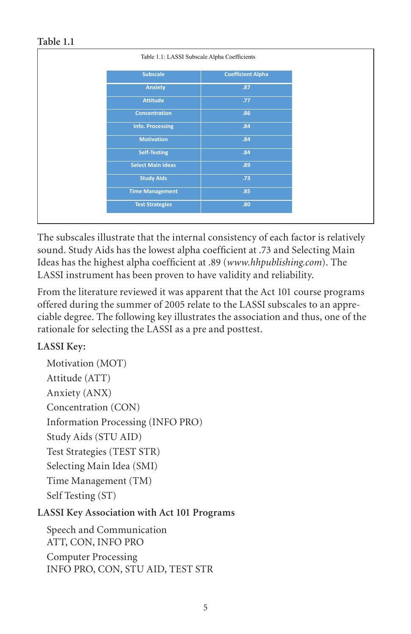## **Table 1.1**

|                          | Table 1.1: LASSI Subscale Alpha Coefficients |  |  |
|--------------------------|----------------------------------------------|--|--|
| <b>Subscale</b>          | <b>Coefficient Alpha</b>                     |  |  |
| <b>Anxiety</b>           | .87                                          |  |  |
| <b>Attitude</b>          | .77                                          |  |  |
| <b>Concentration</b>     | .86                                          |  |  |
| <b>Info. Processing</b>  | .84                                          |  |  |
| <b>Motivation</b>        | .84                                          |  |  |
| <b>Self-Testing</b>      | .84                                          |  |  |
| <b>Select Main Ideas</b> | .89                                          |  |  |
| <b>Study Aids</b>        | .73                                          |  |  |
| <b>Time Management</b>   | .85                                          |  |  |
| <b>Test Strategies</b>   | .80                                          |  |  |
|                          |                                              |  |  |

The subscales illustrate that the internal consistency of each factor is relatively sound. Study Aids has the lowest alpha coefficient at .73 and Selecting Main Ideas has the highest alpha coefficient at .89 (*www.hhpublishing.com*). The LASSI instrument has been proven to have validity and reliability.

From the literature reviewed it was apparent that the Act 101 course programs offered during the summer of 2005 relate to the LASSI subscales to an appreciable degree. The following key illustrates the association and thus, one of the rationale for selecting the LASSI as a pre and posttest.

# **LASSI Key:**

Motivation (MOT) Attitude (ATT) Anxiety (ANX) Concentration (CON) Information Processing (INFO PRO) Study Aids (STU AID) Test Strategies (TEST STR) Selecting Main Idea (SMI) Time Management (TM) Self Testing (ST)

# **LASSI Key Association with Act 101 Programs**

Speech and Communication ATT, CON, INFO PRO Computer Processing INFO PRO, CON, STU AID, TEST STR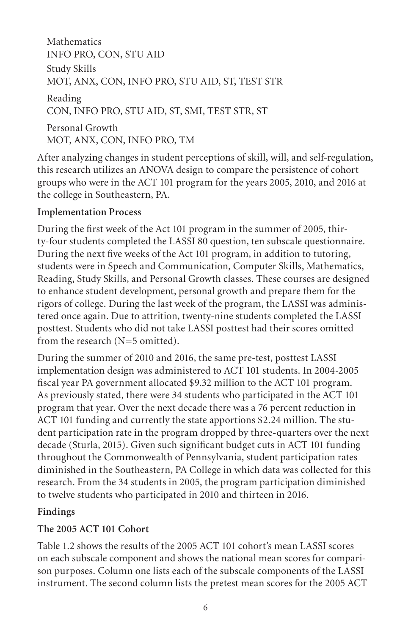**Mathematics** INFO PRO, CON, STU AID Study Skills MOT, ANX, CON, INFO PRO, STU AID, ST, TEST STR Reading CON, INFO PRO, STU AID, ST, SMI, TEST STR, ST Personal Growth MOT, ANX, CON, INFO PRO, TM

After analyzing changes in student perceptions of skill, will, and self-regulation, this research utilizes an ANOVA design to compare the persistence of cohort groups who were in the ACT 101 program for the years 2005, 2010, and 2016 at the college in Southeastern, PA.

### **Implementation Process**

During the first week of the Act 101 program in the summer of 2005, thirty-four students completed the LASSI 80 question, ten subscale questionnaire. During the next five weeks of the Act 101 program, in addition to tutoring, students were in Speech and Communication, Computer Skills, Mathematics, Reading, Study Skills, and Personal Growth classes. These courses are designed to enhance student development, personal growth and prepare them for the rigors of college. During the last week of the program, the LASSI was administered once again. Due to attrition, twenty-nine students completed the LASSI posttest. Students who did not take LASSI posttest had their scores omitted from the research (N=5 omitted).

During the summer of 2010 and 2016, the same pre-test, posttest LASSI implementation design was administered to ACT 101 students. In 2004-2005 fiscal year PA government allocated \$9.32 million to the ACT 101 program. As previously stated, there were 34 students who participated in the ACT 101 program that year. Over the next decade there was a 76 percent reduction in ACT 101 funding and currently the state apportions \$2.24 million. The student participation rate in the program dropped by three-quarters over the next decade (Sturla, 2015). Given such significant budget cuts in ACT 101 funding throughout the Commonwealth of Pennsylvania, student participation rates diminished in the Southeastern, PA College in which data was collected for this research. From the 34 students in 2005, the program participation diminished to twelve students who participated in 2010 and thirteen in 2016.

# **Findings**

# **The 2005 ACT 101 Cohort**

Table 1.2 shows the results of the 2005 ACT 101 cohort's mean LASSI scores on each subscale component and shows the national mean scores for comparison purposes. Column one lists each of the subscale components of the LASSI instrument. The second column lists the pretest mean scores for the 2005 ACT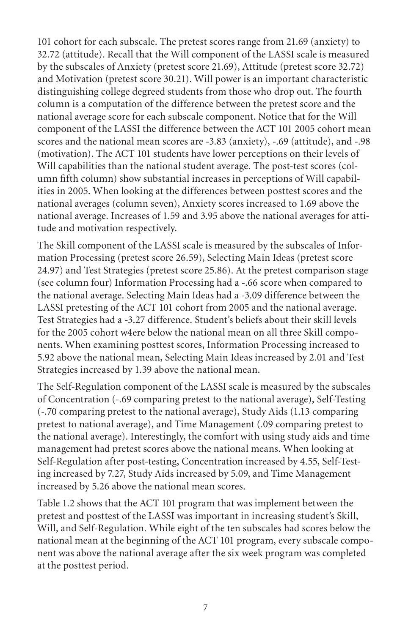101 cohort for each subscale. The pretest scores range from 21.69 (anxiety) to 32.72 (attitude). Recall that the Will component of the LASSI scale is measured by the subscales of Anxiety (pretest score 21.69), Attitude (pretest score 32.72) and Motivation (pretest score 30.21). Will power is an important characteristic distinguishing college degreed students from those who drop out. The fourth column is a computation of the difference between the pretest score and the national average score for each subscale component. Notice that for the Will component of the LASSI the difference between the ACT 101 2005 cohort mean scores and the national mean scores are -3.83 (anxiety), -.69 (attitude), and -.98 (motivation). The ACT 101 students have lower perceptions on their levels of Will capabilities than the national student average. The post-test scores (column fifth column) show substantial increases in perceptions of Will capabilities in 2005. When looking at the differences between posttest scores and the national averages (column seven), Anxiety scores increased to 1.69 above the national average. Increases of 1.59 and 3.95 above the national averages for attitude and motivation respectively.

The Skill component of the LASSI scale is measured by the subscales of Information Processing (pretest score 26.59), Selecting Main Ideas (pretest score 24.97) and Test Strategies (pretest score 25.86). At the pretest comparison stage (see column four) Information Processing had a -.66 score when compared to the national average. Selecting Main Ideas had a -3.09 difference between the LASSI pretesting of the ACT 101 cohort from 2005 and the national average. Test Strategies had a -3.27 difference. Student's beliefs about their skill levels for the 2005 cohort w4ere below the national mean on all three Skill components. When examining posttest scores, Information Processing increased to 5.92 above the national mean, Selecting Main Ideas increased by 2.01 and Test Strategies increased by 1.39 above the national mean.

The Self-Regulation component of the LASSI scale is measured by the subscales of Concentration (-.69 comparing pretest to the national average), Self-Testing (-.70 comparing pretest to the national average), Study Aids (1.13 comparing pretest to national average), and Time Management (.09 comparing pretest to the national average). Interestingly, the comfort with using study aids and time management had pretest scores above the national means. When looking at Self-Regulation after post-testing, Concentration increased by 4.55, Self-Testing increased by 7.27, Study Aids increased by 5.09, and Time Management increased by 5.26 above the national mean scores.

Table 1.2 shows that the ACT 101 program that was implement between the pretest and posttest of the LASSI was important in increasing student's Skill, Will, and Self-Regulation. While eight of the ten subscales had scores below the national mean at the beginning of the ACT 101 program, every subscale component was above the national average after the six week program was completed at the posttest period.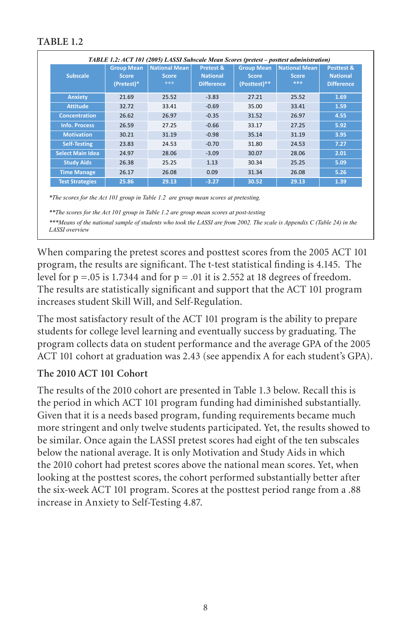| <b>Subscale</b>         | <b>Group Mean</b><br><b>Score</b><br>(Pretest)* | National Mean<br><b>Score</b><br>*** | Pretest &<br><b>National</b><br><b>Difference</b> | <b>Group Mean</b><br><b>Score</b><br>(Posttest)** | <b>National Mean</b><br><b>Score</b><br>*** | Posttest &<br><b>National</b><br><b>Difference</b> |
|-------------------------|-------------------------------------------------|--------------------------------------|---------------------------------------------------|---------------------------------------------------|---------------------------------------------|----------------------------------------------------|
| <b>Anxiety</b>          | 21.69                                           | 25.52                                | $-3.83$                                           | 27.21                                             | 25.52                                       | 1.69                                               |
| <b>Attitude</b>         | 32.72                                           | 33.41                                | $-0.69$                                           | 35.00                                             | 33.41                                       | 1.59                                               |
| <b>Concentration</b>    | 26.62                                           | 26.97                                | $-0.35$                                           | 31.52                                             | 26.97                                       | 4.55                                               |
| <b>Info. Process</b>    | 26.59                                           | 27.25                                | $-0.66$                                           | 33.17                                             | 27.25                                       | 5.92                                               |
| <b>Motivation</b>       | 30.21                                           | 31.19                                | $-0.98$                                           | 35.14                                             | 31.19                                       | 3.95                                               |
| <b>Self-Testing</b>     | 23.83                                           | 24.53                                | $-0.70$                                           | 31.80                                             | 24.53                                       | 7.27                                               |
| <b>Select Main Idea</b> | 24.97                                           | 28.06                                | $-3.09$                                           | 30.07                                             | 28.06                                       | 2.01                                               |
| <b>Study Aids</b>       | 26.38                                           | 25.25                                | 1.13                                              | 30.34                                             | 25.25                                       | 5.09                                               |
| <b>Time Manage</b>      | 26.17                                           | 26.08                                | 0.09                                              | 31.34                                             | 26.08                                       | 5.26                                               |
| <b>Test Strategies</b>  | 25.86                                           | 29.13                                | $-3.27$                                           | 30.52                                             | 29.13                                       | 1.39                                               |

*\*The scores for the Act 101 group in Table 1.2 are group mean scores at pretesting.*

*\*\*The scores for the Act 101 group in Table 1.2 are group mean scores at post-testing*

*\*\*\*Means of the national sample of students who took the LASSI are from 2002. The scale is Appendix C (Table 24) in the LASSI overview*

When comparing the pretest scores and posttest scores from the 2005 ACT 101 program, the results are significant. The t-test statistical finding is 4.145. The level for  $p = .05$  is 1.7344 and for  $p = .01$  it is 2.552 at 18 degrees of freedom. The results are statistically significant and support that the ACT 101 program increases student Skill Will, and Self-Regulation.

The most satisfactory result of the ACT 101 program is the ability to prepare students for college level learning and eventually success by graduating. The program collects data on student performance and the average GPA of the 2005 ACT 101 cohort at graduation was 2.43 (see appendix A for each student's GPA).

#### **The 2010 ACT 101 Cohort**

The results of the 2010 cohort are presented in Table 1.3 below. Recall this is the period in which ACT 101 program funding had diminished substantially. Given that it is a needs based program, funding requirements became much more stringent and only twelve students participated. Yet, the results showed to be similar. Once again the LASSI pretest scores had eight of the ten subscales below the national average. It is only Motivation and Study Aids in which the 2010 cohort had pretest scores above the national mean scores. Yet, when looking at the posttest scores, the cohort performed substantially better after the six-week ACT 101 program. Scores at the posttest period range from a .88 increase in Anxiety to Self-Testing 4.87.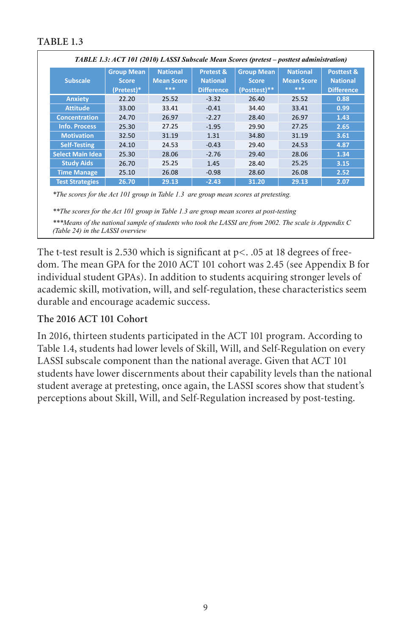|                         | TABLE 1.3: ACT 101 (2010) LASSI Subscale Mean Scores (pretest - posttest administration) |                                             |                                                   |                                                   |                                             |                                                    |
|-------------------------|------------------------------------------------------------------------------------------|---------------------------------------------|---------------------------------------------------|---------------------------------------------------|---------------------------------------------|----------------------------------------------------|
| <b>Subscale</b>         | <b>Group Mean</b><br><b>Score</b><br>(Pretest)*                                          | <b>National</b><br><b>Mean Score</b><br>*** | Pretest &<br><b>National</b><br><b>Difference</b> | <b>Group Mean</b><br><b>Score</b><br>(Posttest)** | <b>National</b><br><b>Mean Score</b><br>*** | Posttest &<br><b>National</b><br><b>Difference</b> |
| <b>Anxiety</b>          | 22.20                                                                                    | 25.52                                       | $-3.32$                                           | 26.40                                             | 25.52                                       | 0.88                                               |
| <b>Attitude</b>         | 33.00                                                                                    | 33.41                                       | $-0.41$                                           | 34.40                                             | 33.41                                       | 0.99                                               |
| <b>Concentration</b>    | 24.70                                                                                    | 26.97                                       | $-2.27$                                           | 28.40                                             | 26.97                                       | 1.43                                               |
| <b>Info. Process</b>    | 25.30                                                                                    | 27.25                                       | $-1.95$                                           | 29.90                                             | 27.25                                       | 2.65                                               |
| <b>Motivation</b>       | 32.50                                                                                    | 31.19                                       | 1.31                                              | 34.80                                             | 31.19                                       | 3.61                                               |
| <b>Self-Testing</b>     | 24.10                                                                                    | 24.53                                       | $-0.43$                                           | 29.40                                             | 24.53                                       | 4.87                                               |
| <b>Select Main Idea</b> | 25.30                                                                                    | 28.06                                       | $-2.76$                                           | 29.40                                             | 28.06                                       | 1.34                                               |
| <b>Study Aids</b>       | 26.70                                                                                    | 25.25                                       | 1.45                                              | 28.40                                             | 25.25                                       | 3.15                                               |
| <b>Time Manage</b>      | 25.10                                                                                    | 26.08                                       | $-0.98$                                           | 28.60                                             | 26.08                                       | 2.52                                               |
| <b>Test Strategies</b>  | 26.70                                                                                    | 29.13                                       | $-2.43$                                           | 31.20                                             | 29.13                                       | 2.07                                               |

*\*The scores for the Act 101 group in Table 1.3 are group mean scores at pretesting.*

*\*\*The scores for the Act 101 group in Table 1.3 are group mean scores at post-testing \*\*\*Means of the national sample of students who took the LASSI are from 2002. The scale is Appendix C (Table 24) in the LASSI overview*

The t-test result is 2.530 which is significant at  $p<$ . .05 at 18 degrees of freedom. The mean GPA for the 2010 ACT 101 cohort was 2.45 (see Appendix B for individual student GPAs). In addition to students acquiring stronger levels of academic skill, motivation, will, and self-regulation, these characteristics seem durable and encourage academic success.

#### **The 2016 ACT 101 Cohort**

In 2016, thirteen students participated in the ACT 101 program. According to Table 1.4, students had lower levels of Skill, Will, and Self-Regulation on every LASSI subscale component than the national average. Given that ACT 101 students have lower discernments about their capability levels than the national student average at pretesting, once again, the LASSI scores show that student's perceptions about Skill, Will, and Self-Regulation increased by post-testing.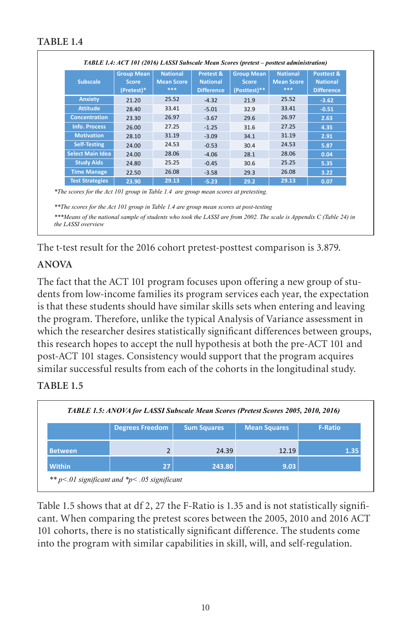| <b>Subscale</b>                                                                                                                                                                                                                                                                                                           | <b>Group Mean</b><br>Score<br>(Pretest)* | <b>National</b><br><b>Mean Score</b><br>*** | Pretest &<br><b>National</b><br><b>Difference</b> | <b>Group Mean</b><br><b>Score</b><br>(Posttest)** | <b>National</b><br><b>Mean Score</b><br>*** | <b>Posttest &amp;</b><br><b>National</b><br><b>Difference</b> |
|---------------------------------------------------------------------------------------------------------------------------------------------------------------------------------------------------------------------------------------------------------------------------------------------------------------------------|------------------------------------------|---------------------------------------------|---------------------------------------------------|---------------------------------------------------|---------------------------------------------|---------------------------------------------------------------|
| <b>Anxiety</b>                                                                                                                                                                                                                                                                                                            | 21.20                                    | 25.52                                       | $-4.32$                                           | 21.9                                              | 25.52                                       | $-3.62$                                                       |
| <b>Attitude</b>                                                                                                                                                                                                                                                                                                           | 28.40                                    | 33.41                                       | $-5.01$                                           | 32.9                                              | 33.41                                       | $-0.51$                                                       |
| <b>Concentration</b>                                                                                                                                                                                                                                                                                                      | 23.30                                    | 26.97                                       | $-3.67$                                           | 29.6                                              | 26.97                                       | 2.63                                                          |
| <b>Info. Process</b>                                                                                                                                                                                                                                                                                                      | 26.00                                    | 27.25                                       | $-1.25$                                           | 31.6                                              | 27.25                                       | 4.35                                                          |
| <b>Motivation</b>                                                                                                                                                                                                                                                                                                         | 28.10                                    | 31.19                                       | $-3.09$                                           | 34.1                                              | 31.19                                       | 2.91                                                          |
| <b>Self-Testing</b>                                                                                                                                                                                                                                                                                                       | 24.00                                    | 24.53                                       | $-0.53$                                           | 30.4                                              | 24.53                                       | 5.87                                                          |
| <b>Select Main Idea</b>                                                                                                                                                                                                                                                                                                   | 24.00                                    | 28.06                                       | $-4.06$                                           | 28.1                                              | 28.06                                       | 0.04                                                          |
| <b>Study Aids</b>                                                                                                                                                                                                                                                                                                         | 24.80                                    | 25.25                                       | $-0.45$                                           | 30.6                                              | 25.25                                       | 5.35                                                          |
| <b>Time Manage</b>                                                                                                                                                                                                                                                                                                        | 22.50                                    | 26.08                                       | $-3.58$                                           | 29.3                                              | 26.08                                       | 3.22                                                          |
| <b>Test Strategies</b>                                                                                                                                                                                                                                                                                                    | 23.90                                    | 29.13                                       | $-5.23$                                           | 29.2                                              | 29.13                                       | 0.07                                                          |
| *The scores for the Act 101 group in Table 1.4 are group mean scores at pretesting.<br>**The scores for the Act 101 group in Table 1.4 are group mean scores at post-testing<br>***Means of the national sample of students who took the LASSI are from 2002. The scale is Appendix C (Table 24) in<br>the LASSI overview |                                          |                                             |                                                   |                                                   |                                             |                                                               |

The t-test result for the 2016 cohort pretest-posttest comparison is 3.879.

# **ANOVA**

The fact that the ACT 101 program focuses upon offering a new group of students from low-income families its program services each year, the expectation is that these students should have similar skills sets when entering and leaving the program. Therefore, unlike the typical Analysis of Variance assessment in which the researcher desires statistically significant differences between groups, this research hopes to accept the null hypothesis at both the pre-ACT 101 and post-ACT 101 stages. Consistency would support that the program acquires similar successful results from each of the cohorts in the longitudinal study.

# **TABLE 1.5**

|                |                        |                    | TABLE 1.5: ANOVA for LASSI Subscale Mean Scores (Pretest Scores 2005, 2010, 2016) |                |
|----------------|------------------------|--------------------|-----------------------------------------------------------------------------------|----------------|
|                | <b>Degrees Freedom</b> | <b>Sum Squares</b> | <b>Mean Squares</b>                                                               | <b>F-Ratio</b> |
| <b>Between</b> |                        | 24.39              | 12.19                                                                             | 1.35           |
| <b>Within</b>  | 27                     | 243.80             | 9.03                                                                              |                |

Table 1.5 shows that at df 2, 27 the F-Ratio is 1.35 and is not statistically significant. When comparing the pretest scores between the 2005, 2010 and 2016 ACT 101 cohorts, there is no statistically significant difference. The students come into the program with similar capabilities in skill, will, and self-regulation.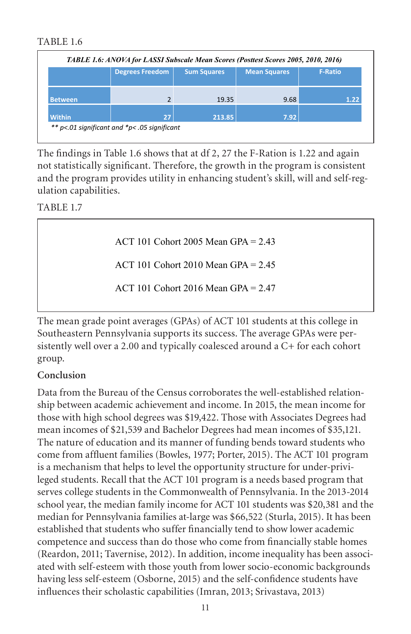|                | <b>Degrees Freedom</b> | <b>Sum Squares</b> | <b>Mean Squares</b> | <b>F-Ratio</b> |
|----------------|------------------------|--------------------|---------------------|----------------|
| <b>Between</b> |                        | 19.35              | 9.68                | 1.22           |
| <b>Within</b>  | 27                     | 213.85             | 7.92                |                |

The findings in Table 1.6 shows that at df 2, 27 the F-Ration is 1.22 and again not statistically significant. Therefore, the growth in the program is consistent and the program provides utility in enhancing student's skill, will and self-regulation capabilities.

TABLE 1.7

ACT 101 Cohort 2005 Mean GPA = 2.43

ACT 101 Cohort 2010 Mean GPA = 2.45

ACT 101 Cohort 2016 Mean GPA = 2.47

The mean grade point averages (GPAs) of ACT 101 students at this college in Southeastern Pennsylvania supports its success. The average GPAs were persistently well over a 2.00 and typically coalesced around a C+ for each cohort group.

#### **Conclusion**

Data from the Bureau of the Census corroborates the well-established relationship between academic achievement and income. In 2015, the mean income for those with high school degrees was \$19,422. Those with Associates Degrees had mean incomes of \$21,539 and Bachelor Degrees had mean incomes of \$35,121. The nature of education and its manner of funding bends toward students who come from affluent families (Bowles, 1977; Porter, 2015). The ACT 101 program is a mechanism that helps to level the opportunity structure for under-privileged students. Recall that the ACT 101 program is a needs based program that serves college students in the Commonwealth of Pennsylvania. In the 2013-2014 school year, the median family income for ACT 101 students was \$20,381 and the median for Pennsylvania families at-large was \$66,522 (Sturla, 2015). It has been established that students who suffer financially tend to show lower academic competence and success than do those who come from financially stable homes (Reardon, 2011; Tavernise, 2012). In addition, income inequality has been associated with self-esteem with those youth from lower socio-economic backgrounds having less self-esteem (Osborne, 2015) and the self-confidence students have influences their scholastic capabilities (Imran, 2013; Srivastava, 2013)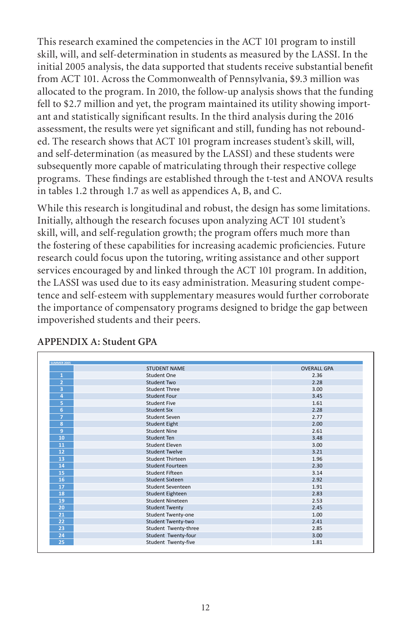This research examined the competencies in the ACT 101 program to instill skill, will, and self-determination in students as measured by the LASSI. In the initial 2005 analysis, the data supported that students receive substantial benefit from ACT 101. Across the Commonwealth of Pennsylvania, \$9.3 million was allocated to the program. In 2010, the follow-up analysis shows that the funding fell to \$2.7 million and yet, the program maintained its utility showing important and statistically significant results. In the third analysis during the 2016 assessment, the results were yet significant and still, funding has not rebounded. The research shows that ACT 101 program increases student's skill, will, and self-determination (as measured by the LASSI) and these students were subsequently more capable of matriculating through their respective college programs. These findings are established through the t-test and ANOVA results in tables 1.2 through 1.7 as well as appendices A, B, and C.

While this research is longitudinal and robust, the design has some limitations. Initially, although the research focuses upon analyzing ACT 101 student's skill, will, and self-regulation growth; the program offers much more than the fostering of these capabilities for increasing academic proficiencies. Future research could focus upon the tutoring, writing assistance and other support services encouraged by and linked through the ACT 101 program. In addition, the LASSI was used due to its easy administration. Measuring student competence and self-esteem with supplementary measures would further corroborate the importance of compensatory programs designed to bridge the gap between impoverished students and their peers.

|                         | <b>STUDENT NAME</b>   | <b>OVERALL GPA</b> |
|-------------------------|-----------------------|--------------------|
| $\mathbf{1}$            | Student One           | 2.36               |
| 2                       | <b>Student Two</b>    | 2.28               |
| 3                       | Student Three         | 3.00               |
| 4                       | <b>Student Four</b>   | 3.45               |
| 5                       | <b>Student Five</b>   | 1.61               |
| 6                       | <b>Student Six</b>    | 2.28               |
| $\overline{7}$          | Student Seven         | 2.77               |
| $\overline{\mathbf{8}}$ | <b>Student Eight</b>  | 2.00               |
| 9                       | Student Nine          | 2.61               |
| 10                      | Student Ten           | 3.48               |
| 11                      | <b>Student Eleven</b> | 3.00               |
| 12                      | Student Twelve        | 3.21               |
| 13                      | Student Thirteen      | 1.96               |
| 14                      | Student Fourteen      | 2.30               |
| 15                      | Student Fifteen       | 3.14               |
| 16                      | Student Sixteen       | 2.92               |
| 17                      | Student Seventeen     | 1.91               |
| 18                      | Student Eighteen      | 2.83               |
| 19                      | Student Nineteen      | 2.53               |
| 20                      | <b>Student Twenty</b> | 2.45               |
| 21                      | Student Twenty-one    | 1.00               |
| 22                      | Student Twenty-two    | 2.41               |
| 23                      | Student Twenty-three  | 2.85               |
| 24                      | Student Twenty-four   | 3.00               |
| 25                      | Student Twenty-five   | 1.81               |

# **APPENDIX A: Student GPA**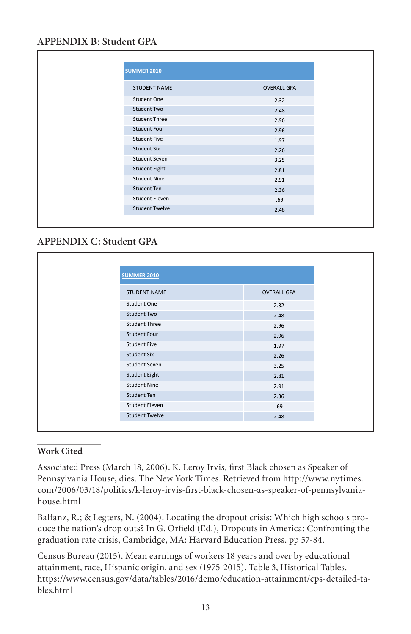# **APPENDIX B: Student GPA**

| <b>STUDENT NAME</b><br><b>OVERALL GPA</b><br><b>Student One</b><br>2.32<br><b>Student Two</b><br>2.48<br><b>Student Three</b><br>2.96<br><b>Student Four</b><br>2.96<br><b>Student Five</b><br>1.97<br><b>Student Six</b><br>2.26<br>Student Seven<br>3.25<br><b>Student Eight</b><br>2.81<br><b>Student Nine</b><br>2.91<br>Student Ten<br>2.36<br><b>Student Eleven</b><br>.69<br><b>Student Twelve</b><br>2.48 | <b>SUMMER 2010</b> |  |
|-------------------------------------------------------------------------------------------------------------------------------------------------------------------------------------------------------------------------------------------------------------------------------------------------------------------------------------------------------------------------------------------------------------------|--------------------|--|
|                                                                                                                                                                                                                                                                                                                                                                                                                   |                    |  |
|                                                                                                                                                                                                                                                                                                                                                                                                                   |                    |  |
|                                                                                                                                                                                                                                                                                                                                                                                                                   |                    |  |
|                                                                                                                                                                                                                                                                                                                                                                                                                   |                    |  |
|                                                                                                                                                                                                                                                                                                                                                                                                                   |                    |  |
|                                                                                                                                                                                                                                                                                                                                                                                                                   |                    |  |
|                                                                                                                                                                                                                                                                                                                                                                                                                   |                    |  |
|                                                                                                                                                                                                                                                                                                                                                                                                                   |                    |  |
|                                                                                                                                                                                                                                                                                                                                                                                                                   |                    |  |
|                                                                                                                                                                                                                                                                                                                                                                                                                   |                    |  |
|                                                                                                                                                                                                                                                                                                                                                                                                                   |                    |  |
|                                                                                                                                                                                                                                                                                                                                                                                                                   |                    |  |
|                                                                                                                                                                                                                                                                                                                                                                                                                   |                    |  |
|                                                                                                                                                                                                                                                                                                                                                                                                                   |                    |  |

# **APPENDIX C: Student GPA**

| <b>SUMMER 2010</b>    |                    |
|-----------------------|--------------------|
| <b>STUDENT NAME</b>   | <b>OVERALL GPA</b> |
| Student One           | 2.32               |
| Student Two           | 2.48               |
| <b>Student Three</b>  | 2.96               |
| <b>Student Four</b>   | 2.96               |
| <b>Student Five</b>   | 1.97               |
| <b>Student Six</b>    | 2.26               |
| Student Seven         | 3.25               |
| <b>Student Eight</b>  | 2.81               |
| <b>Student Nine</b>   | 2.91               |
| Student Ten           | 2.36               |
| <b>Student Eleven</b> | .69                |
| <b>Student Twelve</b> | 2.48               |
|                       |                    |

#### **Work Cited**

Associated Press (March 18, 2006). K. Leroy Irvis, first Black chosen as Speaker of Pennsylvania House, dies. The New York Times. Retrieved from http://www.nytimes. com/2006/03/18/politics/k-leroy-irvis-first-black-chosen-as-speaker-of-pennsylvaniahouse.html

Balfanz, R.; & Legters, N. (2004). Locating the dropout crisis: Which high schools produce the nation's drop outs? In G. Orfield (Ed.), Dropouts in America: Confronting the graduation rate crisis, Cambridge, MA: Harvard Education Press. pp 57-84.

Census Bureau (2015). Mean earnings of workers 18 years and over by educational attainment, race, Hispanic origin, and sex (1975-2015). Table 3, Historical Tables. https://www.census.gov/data/tables/2016/demo/education-attainment/cps-detailed-tables.html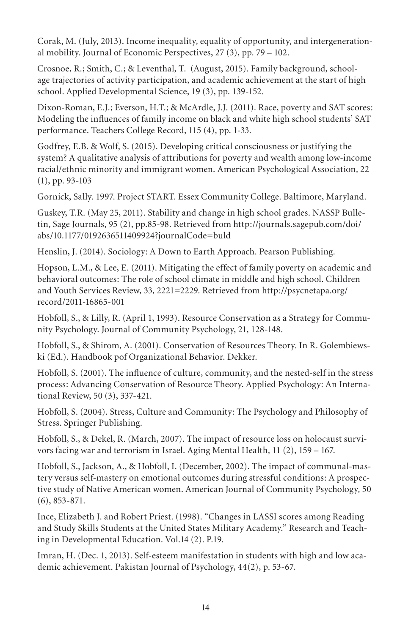Corak, M. (July, 2013). Income inequality, equality of opportunity, and intergenerational mobility. Journal of Economic Perspectives, 27 (3), pp. 79 – 102.

Crosnoe, R.; Smith, C.; & Leventhal, T. (August, 2015). Family background, schoolage trajectories of activity participation, and academic achievement at the start of high school. Applied Developmental Science, 19 (3), pp. 139-152.

Dixon-Roman, E.J.; Everson, H.T.; & McArdle, J.J. (2011). Race, poverty and SAT scores: Modeling the influences of family income on black and white high school students' SAT performance. Teachers College Record, 115 (4), pp. 1-33.

Godfrey, E.B. & Wolf, S. (2015). Developing critical consciousness or justifying the system? A qualitative analysis of attributions for poverty and wealth among low-income racial/ethnic minority and immigrant women. American Psychological Association, 22 (1), pp. 93-103

Gornick, Sally. 1997. Project START. Essex Community College. Baltimore, Maryland.

Guskey, T.R. (May 25, 2011). Stability and change in high school grades. NASSP Bulletin, Sage Journals, 95 (2), pp.85-98. Retrieved from http://journals.sagepub.com/doi/ abs/10.1177/0192636511409924?journalCode=buld

Henslin, J. (2014). Sociology: A Down to Earth Approach. Pearson Publishing.

Hopson, L.M., & Lee, E. (2011). Mitigating the effect of family poverty on academic and behavioral outcomes: The role of school climate in middle and high school. Children and Youth Services Review, 33, 2221=2229. Retrieved from http://psycnetapa.org/ record/2011-16865-001

Hobfoll, S., & Lilly, R. (April 1, 1993). Resource Conservation as a Strategy for Community Psychology. Journal of Community Psychology, 21, 128-148.

Hobfoll, S., & Shirom, A. (2001). Conservation of Resources Theory. In R. Golembiewski (Ed.). Handbook pof Organizational Behavior. Dekker.

Hobfoll, S. (2001). The influence of culture, community, and the nested-self in the stress process: Advancing Conservation of Resource Theory. Applied Psychology: An International Review, 50 (3), 337-421.

Hobfoll, S. (2004). Stress, Culture and Community: The Psychology and Philosophy of Stress. Springer Publishing.

Hobfoll, S., & Dekel, R. (March, 2007). The impact of resource loss on holocaust survivors facing war and terrorism in Israel. Aging Mental Health, 11 (2), 159 – 167.

Hobfoll, S., Jackson, A., & Hobfoll, I. (December, 2002). The impact of communal-mastery versus self-mastery on emotional outcomes during stressful conditions: A prospective study of Native American women. American Journal of Community Psychology, 50 (6), 853-871.

Ince, Elizabeth J. and Robert Priest. (1998). "Changes in LASSI scores among Reading and Study Skills Students at the United States Military Academy." Research and Teaching in Developmental Education. Vol.14 (2). P.19.

Imran, H. (Dec. 1, 2013). Self-esteem manifestation in students with high and low academic achievement. Pakistan Journal of Psychology, 44(2), p. 53-67.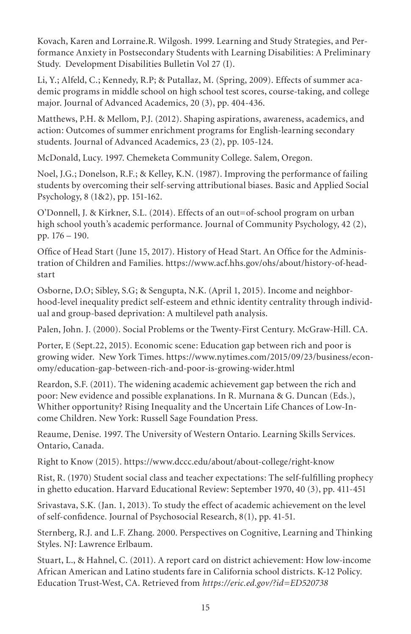Kovach, Karen and Lorraine.R. Wilgosh. 1999. Learning and Study Strategies, and Performance Anxiety in Postsecondary Students with Learning Disabilities: A Preliminary Study. Development Disabilities Bulletin Vol 27 (I).

Li, Y.; Alfeld, C.; Kennedy, R.P; & Putallaz, M. (Spring, 2009). Effects of summer academic programs in middle school on high school test scores, course-taking, and college major. Journal of Advanced Academics, 20 (3), pp. 404-436.

Matthews, P.H. & Mellom, P.J. (2012). Shaping aspirations, awareness, academics, and action: Outcomes of summer enrichment programs for English-learning secondary students. Journal of Advanced Academics, 23 (2), pp. 105-124.

McDonald, Lucy. 1997. Chemeketa Community College. Salem, Oregon.

Noel, J.G.; Donelson, R.F.; & Kelley, K.N. (1987). Improving the performance of failing students by overcoming their self-serving attributional biases. Basic and Applied Social Psychology, 8 (1&2), pp. 151-162.

O'Donnell, J. & Kirkner, S.L. (2014). Effects of an out=of-school program on urban high school youth's academic performance. Journal of Community Psychology, 42 (2), pp. 176 – 190.

Office of Head Start (June 15, 2017). History of Head Start. An Office for the Administration of Children and Families. https://www.acf.hhs.gov/ohs/about/history-of-headstart

Osborne, D.O; Sibley, S.G; & Sengupta, N.K. (April 1, 2015). Income and neighborhood-level inequality predict self-esteem and ethnic identity centrality through individual and group-based deprivation: A multilevel path analysis.

Palen, John. J. (2000). Social Problems or the Twenty-First Century. McGraw-Hill. CA.

Porter, E (Sept.22, 2015). Economic scene: Education gap between rich and poor is growing wider. New York Times. https://www.nytimes.com/2015/09/23/business/economy/education-gap-between-rich-and-poor-is-growing-wider.html

Reardon, S.F. (2011). The widening academic achievement gap between the rich and poor: New evidence and possible explanations. In R. Murnana & G. Duncan (Eds.), Whither opportunity? Rising Inequality and the Uncertain Life Chances of Low-Income Children. New York: Russell Sage Foundation Press.

Reaume, Denise. 1997. The University of Western Ontario. Learning Skills Services. Ontario, Canada.

Right to Know (2015). https://www.dccc.edu/about/about-college/right-know

Rist, R. (1970) Student social class and teacher expectations: The self-fulfilling prophecy in ghetto education. Harvard Educational Review: September 1970, 40 (3), pp. 411-451

Srivastava, S.K. (Jan. 1, 2013). To study the effect of academic achievement on the level of self-confidence. Journal of Psychosocial Research, 8(1), pp. 41-51.

Sternberg, R.J. and L.F. Zhang. 2000. Perspectives on Cognitive, Learning and Thinking Styles. NJ: Lawrence Erlbaum.

Stuart, L., & Hahnel, C. (2011). A report card on district achievement: How low-income African American and Latino students fare in California school districts. K-12 Policy. Education Trust-West, CA. Retrieved from *https://eric.ed.gov/?id=ED520738*